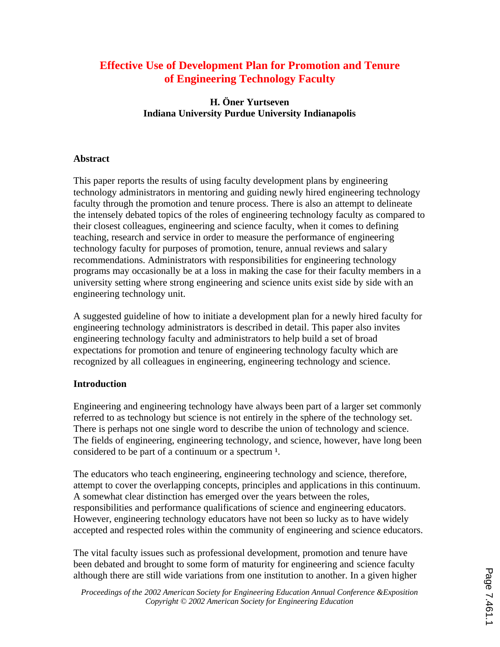# **Effective Use of Development Plan for Promotion and Tenure of Engineering Technology Faculty**

**H. Öner Yurtseven Indiana University Purdue University Indianapolis**

# **Abstract**

This paper reports the results of using faculty development plans by engineering technology administrators in mentoring and guiding newly hired engineering technology faculty through the promotion and tenure process. There is also an attempt to delineate the intensely debated topics of the roles of engineering technology faculty as compared to their closest colleagues, engineering and science faculty, when it comes to defining teaching, research and service in order to measure the performance of engineering technology faculty for purposes of promotion, tenure, annual reviews and salary recommendations. Administrators with responsibilities for engineering technology programs may occasionally be at a loss in making the case for their faculty members in a university setting where strong engineering and science units exist side by side with an engineering technology unit.

A suggested guideline of how to initiate a development plan for a newly hired faculty for engineering technology administrators is described in detail. This paper also invites engineering technology faculty and administrators to help build a set of broad expectations for promotion and tenure of engineering technology faculty which are recognized by all colleagues in engineering, engineering technology and science.

# **Introduction**

Engineering and engineering technology have always been part of a larger set commonly referred to as technology but science is not entirely in the sphere of the technology set. There is perhaps not one single word to describe the union of technology and science. The fields of engineering, engineering technology, and science, however, have long been considered to be part of a continuum or a spectrum  $<sup>1</sup>$ .</sup>

The educators who teach engineering, engineering technology and science, therefore, attempt to cover the overlapping concepts, principles and applications in this continuum. A somewhat clear distinction has emerged over the years between the roles, responsibilities and performance qualifications of science and engineering educators. However, engineering technology educators have not been so lucky as to have widely accepted and respected roles within the community of engineering and science educators.

The vital faculty issues such as professional development, promotion and tenure have been debated and brought to some form of maturity for engineering and science faculty although there are still wide variations from one institution to another. In a given higher

*Proceedings of the 2002 American Society for Engineering Education Annual Conference &Exposition Copyright © 2002 American Society for Engineering Education*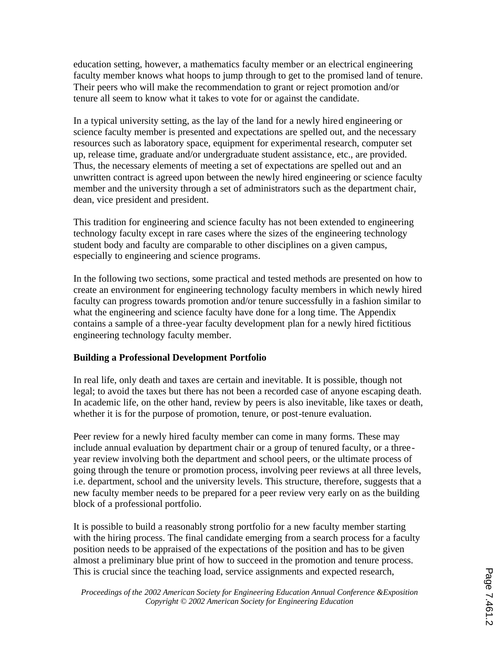education setting, however, a mathematics faculty member or an electrical engineering faculty member knows what hoops to jump through to get to the promised land of tenure. Their peers who will make the recommendation to grant or reject promotion and/or tenure all seem to know what it takes to vote for or against the candidate.

In a typical university setting, as the lay of the land for a newly hired engineering or science faculty member is presented and expectations are spelled out, and the necessary resources such as laboratory space, equipment for experimental research, computer set up, release time, graduate and/or undergraduate student assistance, etc., are provided. Thus, the necessary elements of meeting a set of expectations are spelled out and an unwritten contract is agreed upon between the newly hired engineering or science faculty member and the university through a set of administrators such as the department chair, dean, vice president and president.

This tradition for engineering and science faculty has not been extended to engineering technology faculty except in rare cases where the sizes of the engineering technology student body and faculty are comparable to other disciplines on a given campus, especially to engineering and science programs.

In the following two sections, some practical and tested methods are presented on how to create an environment for engineering technology faculty members in which newly hired faculty can progress towards promotion and/or tenure successfully in a fashion similar to what the engineering and science faculty have done for a long time. The Appendix contains a sample of a three-year faculty development plan for a newly hired fictitious engineering technology faculty member.

# **Building a Professional Development Portfolio**

In real life, only death and taxes are certain and inevitable. It is possible, though not legal; to avoid the taxes but there has not been a recorded case of anyone escaping death. In academic life, on the other hand, review by peers is also inevitable, like taxes or death, whether it is for the purpose of promotion, tenure, or post-tenure evaluation.

Peer review for a newly hired faculty member can come in many forms. These may include annual evaluation by department chair or a group of tenured faculty, or a threeyear review involving both the department and school peers, or the ultimate process of going through the tenure or promotion process, involving peer reviews at all three levels, i.e. department, school and the university levels. This structure, therefore, suggests that a new faculty member needs to be prepared for a peer review very early on as the building block of a professional portfolio.

It is possible to build a reasonably strong portfolio for a new faculty member starting with the hiring process. The final candidate emerging from a search process for a faculty position needs to be appraised of the expectations of the position and has to be given almost a preliminary blue print of how to succeed in the promotion and tenure process. This is crucial since the teaching load, service assignments and expected research,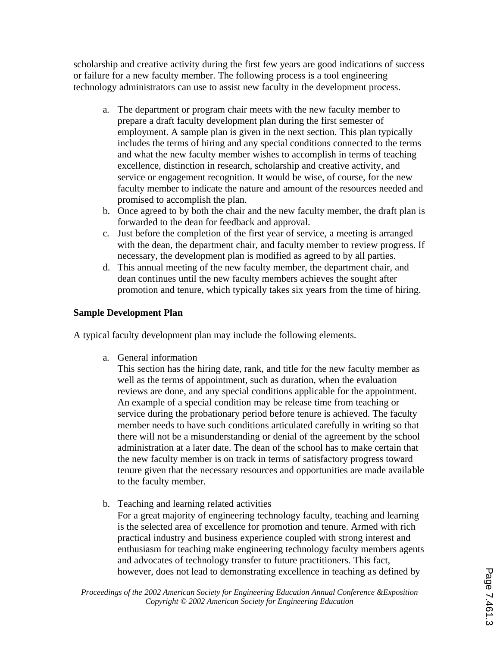scholarship and creative activity during the first few years are good indications of success or failure for a new faculty member. The following process is a tool engineering technology administrators can use to assist new faculty in the development process.

- a. The department or program chair meets with the new faculty member to prepare a draft faculty development plan during the first semester of employment. A sample plan is given in the next section. This plan typically includes the terms of hiring and any special conditions connected to the terms and what the new faculty member wishes to accomplish in terms of teaching excellence, distinction in research, scholarship and creative activity, and service or engagement recognition. It would be wise, of course, for the new faculty member to indicate the nature and amount of the resources needed and promised to accomplish the plan.
- b. Once agreed to by both the chair and the new faculty member, the draft plan is forwarded to the dean for feedback and approval.
- c. Just before the completion of the first year of service, a meeting is arranged with the dean, the department chair, and faculty member to review progress. If necessary, the development plan is modified as agreed to by all parties.
- d. This annual meeting of the new faculty member, the department chair, and dean continues until the new faculty members achieves the sought after promotion and tenure, which typically takes six years from the time of hiring.

# **Sample Development Plan**

A typical faculty development plan may include the following elements.

a. General information

This section has the hiring date, rank, and title for the new faculty member as well as the terms of appointment, such as duration, when the evaluation reviews are done, and any special conditions applicable for the appointment. An example of a special condition may be release time from teaching or service during the probationary period before tenure is achieved. The faculty member needs to have such conditions articulated carefully in writing so that there will not be a misunderstanding or denial of the agreement by the school administration at a later date. The dean of the school has to make certain that the new faculty member is on track in terms of satisfactory progress toward tenure given that the necessary resources and opportunities are made available to the faculty member.

b. Teaching and learning related activities For a great majority of engineering technology faculty, teaching and learning is the selected area of excellence for promotion and tenure. Armed with rich practical industry and business experience coupled with strong interest and enthusiasm for teaching make engineering technology faculty members agents

and advocates of technology transfer to future practitioners. This fact, however, does not lead to demonstrating excellence in teaching as defined by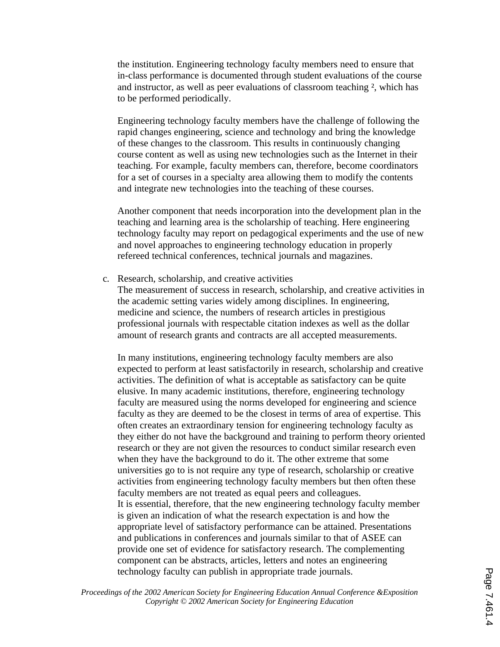the institution. Engineering technology faculty members need to ensure that in-class performance is documented through student evaluations of the course and instructor, as well as peer evaluations of classroom teaching ², which has to be performed periodically.

Engineering technology faculty members have the challenge of following the rapid changes engineering, science and technology and bring the knowledge of these changes to the classroom. This results in continuously changing course content as well as using new technologies such as the Internet in their teaching. For example, faculty members can, therefore, become coordinators for a set of courses in a specialty area allowing them to modify the contents and integrate new technologies into the teaching of these courses.

Another component that needs incorporation into the development plan in the teaching and learning area is the scholarship of teaching. Here engineering technology faculty may report on pedagogical experiments and the use of new and novel approaches to engineering technology education in properly refereed technical conferences, technical journals and magazines.

c. Research, scholarship, and creative activities

The measurement of success in research, scholarship, and creative activities in the academic setting varies widely among disciplines. In engineering, medicine and science, the numbers of research articles in prestigious professional journals with respectable citation indexes as well as the dollar amount of research grants and contracts are all accepted measurements.

In many institutions, engineering technology faculty members are also expected to perform at least satisfactorily in research, scholarship and creative activities. The definition of what is acceptable as satisfactory can be quite elusive. In many academic institutions, therefore, engineering technology faculty are measured using the norms developed for engineering and science faculty as they are deemed to be the closest in terms of area of expertise. This often creates an extraordinary tension for engineering technology faculty as they either do not have the background and training to perform theory oriented research or they are not given the resources to conduct similar research even when they have the background to do it. The other extreme that some universities go to is not require any type of research, scholarship or creative activities from engineering technology faculty members but then often these faculty members are not treated as equal peers and colleagues. It is essential, therefore, that the new engineering technology faculty member is given an indication of what the research expectation is and how the appropriate level of satisfactory performance can be attained. Presentations and publications in conferences and journals similar to that of ASEE can provide one set of evidence for satisfactory research. The complementing component can be abstracts, articles, letters and notes an engineering technology faculty can publish in appropriate trade journals.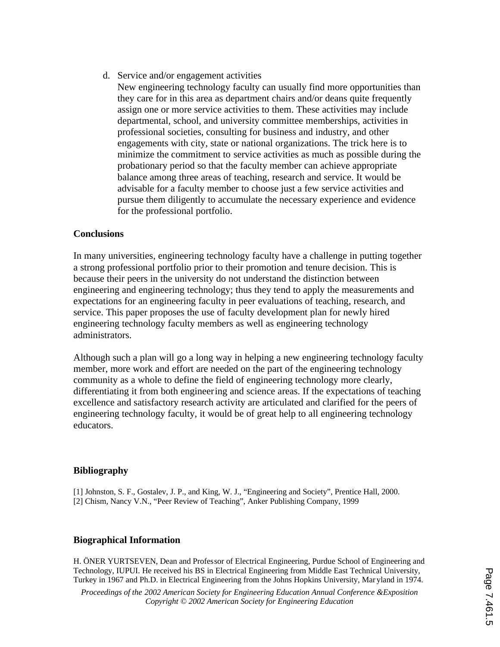d. Service and/or engagement activities

New engineering technology faculty can usually find more opportunities than they care for in this area as department chairs and/or deans quite frequently assign one or more service activities to them. These activities may include departmental, school, and university committee memberships, activities in professional societies, consulting for business and industry, and other engagements with city, state or national organizations. The trick here is to minimize the commitment to service activities as much as possible during the probationary period so that the faculty member can achieve appropriate balance among three areas of teaching, research and service. It would be advisable for a faculty member to choose just a few service activities and pursue them diligently to accumulate the necessary experience and evidence for the professional portfolio.

### **Conclusions**

In many universities, engineering technology faculty have a challenge in putting together a strong professional portfolio prior to their promotion and tenure decision. This is because their peers in the university do not understand the distinction between engineering and engineering technology; thus they tend to apply the measurements and expectations for an engineering faculty in peer evaluations of teaching, research, and service. This paper proposes the use of faculty development plan for newly hired engineering technology faculty members as well as engineering technology administrators.

Although such a plan will go a long way in helping a new engineering technology faculty member, more work and effort are needed on the part of the engineering technology community as a whole to define the field of engineering technology more clearly, differentiating it from both engineering and science areas. If the expectations of teaching excellence and satisfactory research activity are articulated and clarified for the peers of engineering technology faculty, it would be of great help to all engineering technology educators.

### **Bibliography**

[1] Johnston, S. F., Gostalev, J. P., and King, W. J., "Engineering and Society", Prentice Hall, 2000. [2] Chism, Nancy V.N., "Peer Review of Teaching", Anker Publishing Company, 1999

#### **Biographical Information**

H. ÖNER YURTSEVEN, Dean and Professor of Electrical Engineering, Purdue School of Engineering and Technology, IUPUI. He received his BS in Electrical Engineering from Middle East Technical University, Turkey in 1967 and Ph.D. in Electrical Engineering from the Johns Hopkins University, Mar yland in 1974.

*Proceedings of the 2002 American Society for Engineering Education Annual Conference &Exposition Copyright © 2002 American Society for Engineering Education*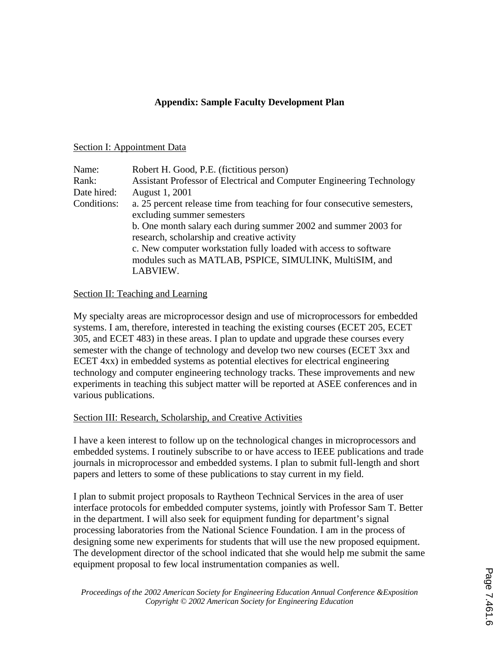# **Appendix: Sample Faculty Development Plan**

### Section I: Appointment Data

| Name:       | Robert H. Good, P.E. (fictitious person)                                                                                                                                                                                                      |
|-------------|-----------------------------------------------------------------------------------------------------------------------------------------------------------------------------------------------------------------------------------------------|
| Rank:       | Assistant Professor of Electrical and Computer Engineering Technology                                                                                                                                                                         |
| Date hired: | August 1, 2001                                                                                                                                                                                                                                |
| Conditions: | a. 25 percent release time from teaching for four consecutive semesters,<br>excluding summer semesters                                                                                                                                        |
|             | b. One month salary each during summer 2002 and summer 2003 for<br>research, scholarship and creative activity<br>c. New computer workstation fully loaded with access to software<br>modules such as MATLAB, PSPICE, SIMULINK, MultiSIM, and |
|             | LABVIEW.                                                                                                                                                                                                                                      |

### Section II: Teaching and Learning

My specialty areas are microprocessor design and use of microprocessors for embedded systems. I am, therefore, interested in teaching the existing courses (ECET 205, ECET 305, and ECET 483) in these areas. I plan to update and upgrade these courses every semester with the change of technology and develop two new courses (ECET 3xx and ECET 4xx) in embedded systems as potential electives for electrical engineering technology and computer engineering technology tracks. These improvements and new experiments in teaching this subject matter will be reported at ASEE conferences and in various publications.

# Section III: Research, Scholarship, and Creative Activities

I have a keen interest to follow up on the technological changes in microprocessors and embedded systems. I routinely subscribe to or have access to IEEE publications and trade journals in microprocessor and embedded systems. I plan to submit full-length and short papers and letters to some of these publications to stay current in my field.

I plan to submit project proposals to Raytheon Technical Services in the area of user interface protocols for embedded computer systems, jointly with Professor Sam T. Better in the department. I will also seek for equipment funding for department's signal processing laboratories from the National Science Foundation. I am in the process of designing some new experiments for students that will use the new proposed equipment. The development director of the school indicated that she would help me submit the same equipment proposal to few local instrumentation companies as well.

*Proceedings of the 2002 American Society for Engineering Education Annual Conference &Exposition Copyright © 2002 American Society for Engineering Education*